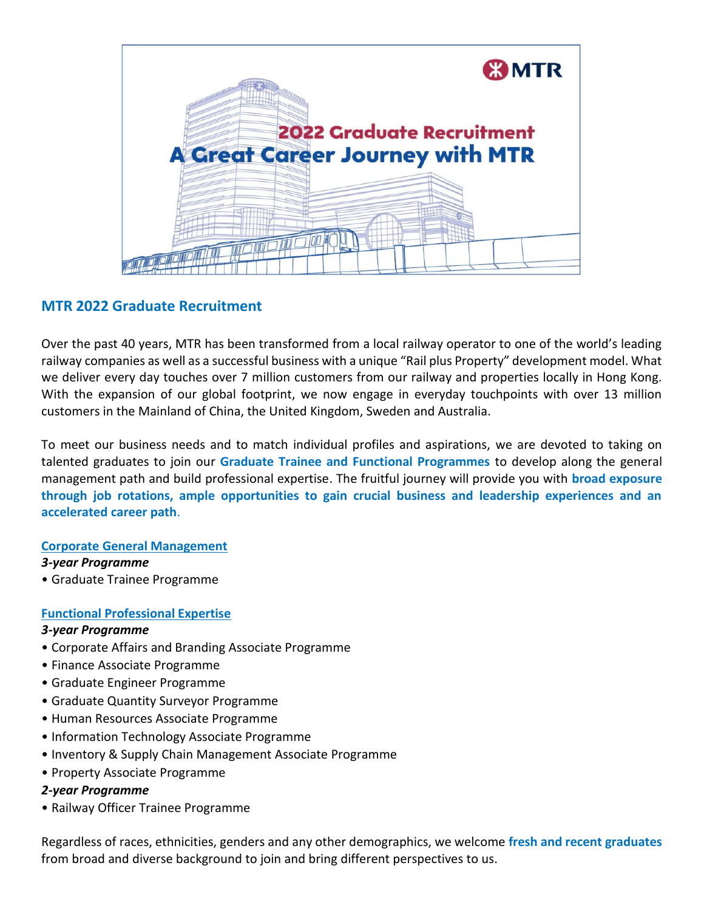

# **MTR 2022 Graduate Recruitment**

Over the past 40 years, MTR has been transformed from a local railway operator to one of the world's leading railway companies as well as a successful business with a unique "Rail plus Property" development model. What we deliver every day touches over 7 million customers from our railway and properties locally in Hong Kong. With the expansion of our global footprint, we now engage in everyday touchpoints with over 13 million customers in the Mainland of China, the United Kingdom, Sweden and Australia.

To meet our business needs and to match individual profiles and aspirations, we are devoted to taking on talented graduates to join our **Graduate Trainee and Functional Programmes** to develop along the general management path and build professional expertise. The fruitful journey will provide you with **broad exposure through job rotations, ample opportunities to gain crucial business and leadership experiences and an accelerated career path**.

### **Corporate General Management**

### *3-year Programme*

• Graduate Trainee Programme

## **Functional Professional Expertise**

### *3-year Programme*

- Corporate Affairs and Branding Associate Programme
- Finance Associate Programme
- Graduate Engineer Programme
- Graduate Quantity Surveyor Programme
- Human Resources Associate Programme
- Information Technology Associate Programme
- Inventory & Supply Chain Management Associate Programme
- Property Associate Programme

### *2-year Programme*

• Railway Officer Trainee Programme

Regardless of races, ethnicities, genders and any other demographics, we welcome **fresh and recent graduates** from broad and diverse background to join and bring different perspectives to us.